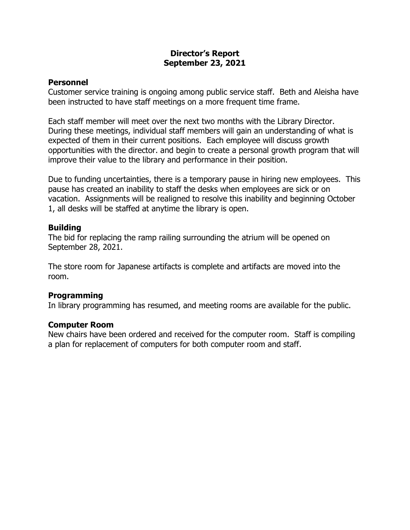# **Director's Report September 23, 2021**

### **Personnel**

Customer service training is ongoing among public service staff. Beth and Aleisha have been instructed to have staff meetings on a more frequent time frame.

Each staff member will meet over the next two months with the Library Director. During these meetings, individual staff members will gain an understanding of what is expected of them in their current positions. Each employee will discuss growth opportunities with the director. and begin to create a personal growth program that will improve their value to the library and performance in their position.

Due to funding uncertainties, there is a temporary pause in hiring new employees. This pause has created an inability to staff the desks when employees are sick or on vacation. Assignments will be realigned to resolve this inability and beginning October 1, all desks will be staffed at anytime the library is open.

## **Building**

The bid for replacing the ramp railing surrounding the atrium will be opened on September 28, 2021.

The store room for Japanese artifacts is complete and artifacts are moved into the room.

### **Programming**

In library programming has resumed, and meeting rooms are available for the public.

### **Computer Room**

New chairs have been ordered and received for the computer room. Staff is compiling a plan for replacement of computers for both computer room and staff.